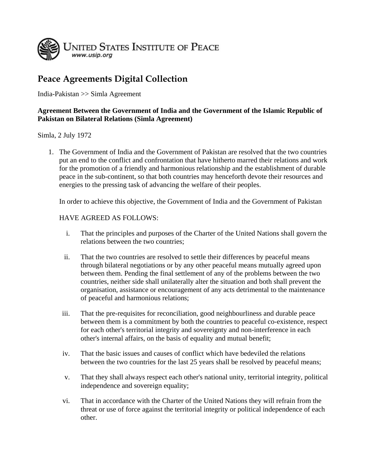

## **Peace Agreements Digital Collection**

India-Pakistan >> Simla Agreement

## **Agreement Between the Government of India and the Government of the Islamic Republic of Pakistan on Bilateral Relations (Simla Agreement)**

## Simla, 2 July 1972

1. The Government of India and the Government of Pakistan are resolved that the two countries put an end to the conflict and confrontation that have hitherto marred their relations and work for the promotion of a friendly and harmonious relationship and the establishment of durable peace in the sub-continent, so that both countries may henceforth devote their resources and energies to the pressing task of advancing the welfare of their peoples.

In order to achieve this objective, the Government of India and the Government of Pakistan

## HAVE AGREED AS FOLLOWS:

- i. That the principles and purposes of the Charter of the United Nations shall govern the relations between the two countries;
- ii. That the two countries are resolved to settle their differences by peaceful means through bilateral negotiations or by any other peaceful means mutually agreed upon between them. Pending the final settlement of any of the problems between the two countries, neither side shall unilaterally alter the situation and both shall prevent the organisation, assistance or encouragement of any acts detrimental to the maintenance of peaceful and harmonious relations;
- iii. That the pre-requisites for reconciliation, good neighbourliness and durable peace between them is a commitment by both the countries to peaceful co-existence, respect for each other's territorial integrity and sovereignty and non-interference in each other's internal affairs, on the basis of equality and mutual benefit;
- iv. That the basic issues and causes of conflict which have bedeviled the relations between the two countries for the last 25 years shall be resolved by peaceful means;
- v. That they shall always respect each other's national unity, territorial integrity, political independence and sovereign equality;
- vi. That in accordance with the Charter of the United Nations they will refrain from the threat or use of force against the territorial integrity or political independence of each other.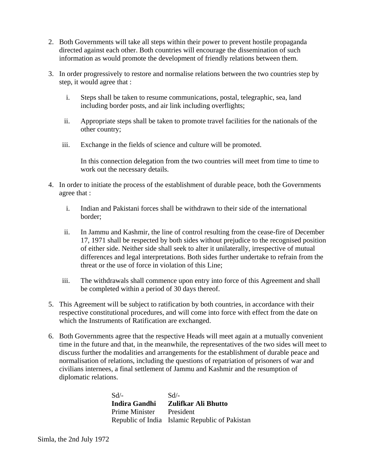- 2. Both Governments will take all steps within their power to prevent hostile propaganda directed against each other. Both countries will encourage the dissemination of such information as would promote the development of friendly relations between them.
- 3. In order progressively to restore and normalise relations between the two countries step by step, it would agree that :
	- i. Steps shall be taken to resume communications, postal, telegraphic, sea, land including border posts, and air link including overflights;
	- ii. Appropriate steps shall be taken to promote travel facilities for the nationals of the other country;
	- iii. Exchange in the fields of science and culture will be promoted.

In this connection delegation from the two countries will meet from time to time to work out the necessary details.

- 4. In order to initiate the process of the establishment of durable peace, both the Governments agree that :
	- i. Indian and Pakistani forces shall be withdrawn to their side of the international border;
	- ii. In Jammu and Kashmir, the line of control resulting from the cease-fire of December 17, 1971 shall be respected by both sides without prejudice to the recognised position of either side. Neither side shall seek to alter it unilaterally, irrespective of mutual differences and legal interpretations. Both sides further undertake to refrain from the threat or the use of force in violation of this Line;
	- iii. The withdrawals shall commence upon entry into force of this Agreement and shall be completed within a period of 30 days thereof.
- 5. This Agreement will be subject to ratification by both countries, in accordance with their respective constitutional procedures, and will come into force with effect from the date on which the Instruments of Ratification are exchanged.
- 6. Both Governments agree that the respective Heads will meet again at a mutually convenient time in the future and that, in the meanwhile, the representatives of the two sides will meet to discuss further the modalities and arrangements for the establishment of durable peace and normalisation of relations, including the questions of repatriation of prisoners of war and civilians internees, a final settlement of Jammu and Kashmir and the resumption of diplomatic relations.

Sd/- **Indira Gandhi** Prime Minister Republic of India Islamic Republic of Pakistan Sd/- **Zulifkar Ali Bhutto** President